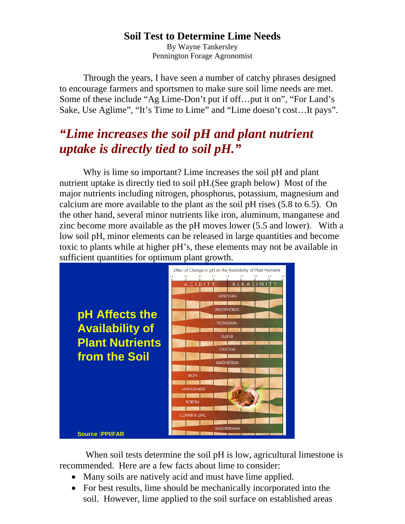## **Soil Test to Determine Lime Needs**

By Wayne Tankersley Pennington Forage Agronomist

Through the years, I have seen a number of catchy phrases designed to encourage farmers and sportsmen to make sure soil lime needs are met. Some of these include "Ag Lime-Don't put if off…put it on", "For Land's Sake, Use Aglime", "It's Time to Lime" and "Lime doesn't cost…It pays".

## *"Lime increases the soil pH and plant nutrient uptake is directly tied to soil pH."*

 Why is lime so important? Lime increases the soil pH and plant nutrient uptake is directly tied to soil pH.(See graph below) Most of the major nutrients including nitrogen, phosphorus, potassium, magnesium and calcium are more available to the plant as the soil pH rises (5.8 to 6.5). On the other hand, several minor nutrients like iron, aluminum, manganese and zinc become more available as the pH moves lower (5.5 and lower). With a low soil pH, minor elements can be released in large quantities and become toxic to plants while at higher pH's, these elements may not be available in sufficient quantities for optimum plant growth.



 When soil tests determine the soil pH is low, agricultural limestone is recommended. Here are a few facts about lime to consider:

- Many soils are natively acid and must have lime applied.
- For best results, lime should be mechanically incorporated into the soil. However, lime applied to the soil surface on established areas